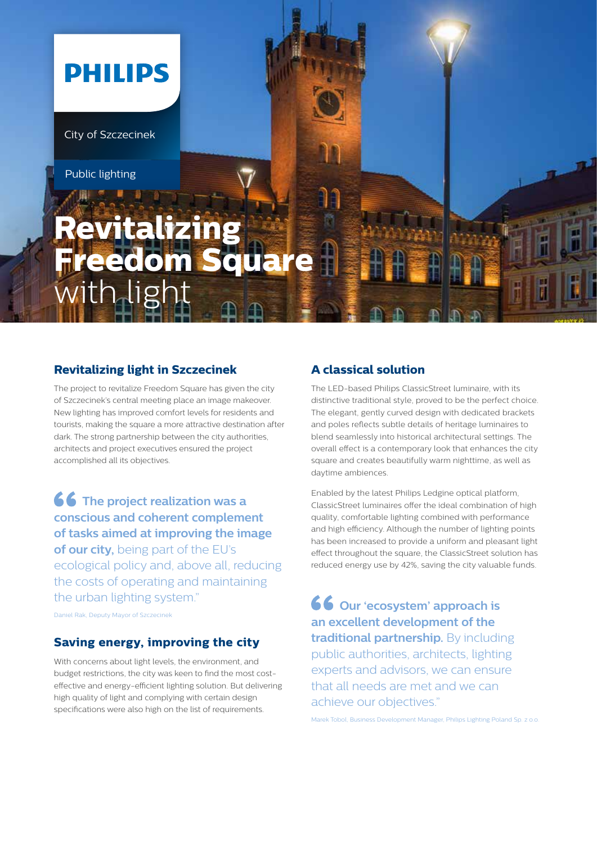

City of Szczecinek

Public lighting

# **Revitalizing Freedom Square** with light

## **Revitalizing light in Szczecinek**

The project to revitalize Freedom Square has given the city of Szczecinek's central meeting place an image makeover. New lighting has improved comfort levels for residents and tourists, making the square a more attractive destination after dark. The strong partnership between the city authorities, architects and project executives ensured the project accomplished all its objectives.

**66** The project realization was a **conscious and coherent complement of tasks aimed at improving the image of our city,** being part of the EU's ecological policy and, above all, reducing the costs of operating and maintaining the urban lighting system."

Daniel Rak, Deputy Mayor of Szczecinek

# **Saving energy, improving the city**

With concerns about light levels, the environment, and budget restrictions, the city was keen to find the most costeffective and energy-efficient lighting solution. But delivering high quality of light and complying with certain design specifications were also high on the list of requirements.

# **A classical solution**

The LED-based Philips ClassicStreet luminaire, with its distinctive traditional style, proved to be the perfect choice. The elegant, gently curved design with dedicated brackets and poles reflects subtle details of heritage luminaires to blend seamlessly into historical architectural settings. The overall effect is a contemporary look that enhances the city square and creates beautifully warm nighttime, as well as daytime ambiences.

Enabled by the latest Philips Ledgine optical platform, ClassicStreet luminaires offer the ideal combination of high quality, comfortable lighting combined with performance and high efficiency. Although the number of lighting points has been increased to provide a uniform and pleasant light effect throughout the square, the ClassicStreet solution has reduced energy use by 42%, saving the city valuable funds.

**66** Our 'ecosystem' approach is **an excellent development of the traditional partnership.** By including public authorities, architects, lighting experts and advisors, we can ensure that all needs are met and we can achieve our objectives."

Marek Tobol, Business Development Manager, Philips Lighting Poland Sp. z o.o.